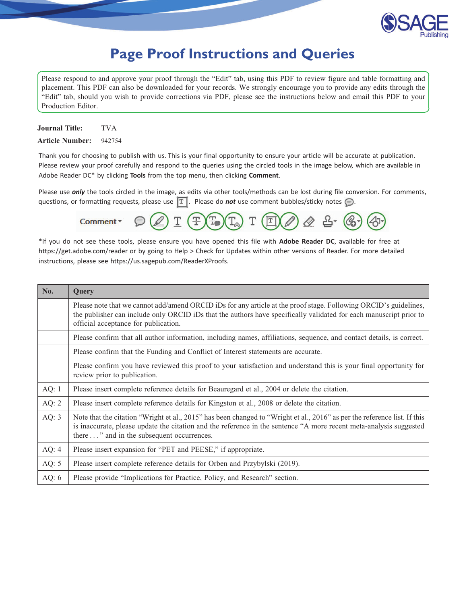

# **Page Proof Instructions and Queries**

<span id="page-0-0"></span>Please respond to and approve your proof through the "Edit" tab, using this PDF to review figure and table formatting and placement. This PDF can also be downloaded for your records. We strongly encourage you to provide any edits through the "Edit" tab, should you wish to provide corrections via PDF, please see the instructions below and email this PDF to your Production Editor.

Journal Title: TVA

Article Number: 942754

Thank you for choosing to publish with us. This is your final opportunity to ensure your article will be accurate at publication. Please review your proof carefully and respond to the queries using the circled tools in the image below, which are available in Adobe Reader DC\* by clicking Tools from the top menu, then clicking Comment.

Please use *only* the tools circled in the image, as edits via other tools/methods can be lost during file conversion. For comments, questions, or formatting requests, please use  $\boxed{T}$ . Please do **not** use comment bubbles/sticky notes  $\bigodot$ .



\*If you do not see these tools, please ensure you have opened this file with Adobe Reader DC, available for free at https://get.adobe.com/reader or by going to Help > Check for Updates within other versions of Reader. For more detailed instructions, please see https://us.sagepub.com/ReaderXProofs.

| No.     | Query                                                                                                                                                                                                                                                                                         |
|---------|-----------------------------------------------------------------------------------------------------------------------------------------------------------------------------------------------------------------------------------------------------------------------------------------------|
|         | Please note that we cannot add/amend ORCID iDs for any article at the proof stage. Following ORCID's guidelines,<br>the publisher can include only ORCID iDs that the authors have specifically validated for each manuscript prior to<br>official acceptance for publication.                |
|         | Please confirm that all author information, including names, affiliations, sequence, and contact details, is correct.                                                                                                                                                                         |
|         | Please confirm that the Funding and Conflict of Interest statements are accurate.                                                                                                                                                                                                             |
|         | Please confirm you have reviewed this proof to your satisfaction and understand this is your final opportunity for<br>review prior to publication.                                                                                                                                            |
| AQ: $1$ | Please insert complete reference details for Beauregard et al., 2004 or delete the citation.                                                                                                                                                                                                  |
| AQ: $2$ | Please insert complete reference details for Kingston et al., 2008 or delete the citation.                                                                                                                                                                                                    |
| AQ: $3$ | Note that the citation "Wright et al., 2015" has been changed to "Wright et al., 2016" as per the reference list. If this<br>is inaccurate, please update the citation and the reference in the sentence "A more recent meta-analysis suggested<br>there " and in the subsequent occurrences. |
| AQ: $4$ | Please insert expansion for "PET and PEESE," if appropriate.                                                                                                                                                                                                                                  |
| AQ: $5$ | Please insert complete reference details for Orben and Przybylski (2019).                                                                                                                                                                                                                     |
| AQ: $6$ | Please provide "Implications for Practice, Policy, and Research" section.                                                                                                                                                                                                                     |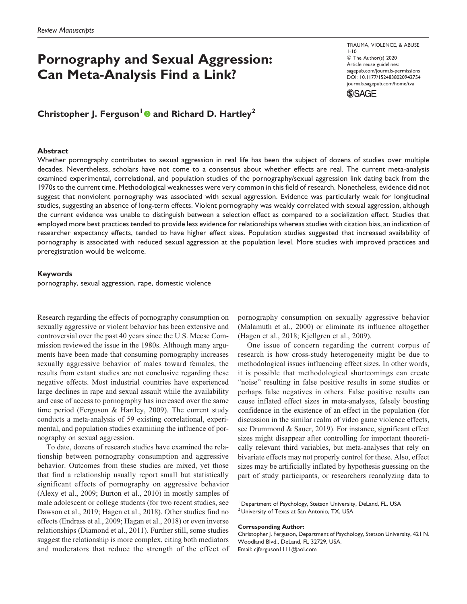# Pornography and Sexual Aggression: Can Meta-Analysis Find a Link?

1-10 © The Author(s) 2020 Article reuse guidelines: [sagepub.com/journals-permissions](https://sagepub.com/journals-permissions) [DOI: 10.1177/1524838020942754](https://doi.org/10.1177/1524838020942754) [journals.sagepub.com/home/tva](http://journals.sagepub.com/home/tva)

TRAUMA, VIOLENCE, & ABUSE



# Christopher J. Ferguson<sup>1</sup> and Richard D. Hartley<sup>2</sup>

#### Abstract

Whether pornography contributes to sexual aggression in real life has been the subject of dozens of studies over multiple decades. Nevertheless, scholars have not come to a consensus about whether effects are real. The current meta-analysis examined experimental, correlational, and population studies of the pornography/sexual aggression link dating back from the 1970s to the current time. Methodological weaknesses were very common in this field of research. Nonetheless, evidence did not suggest that nonviolent pornography was associated with sexual aggression. Evidence was particularly weak for longitudinal studies, suggesting an absence of long-term effects. Violent pornography was weakly correlated with sexual aggression, although the current evidence was unable to distinguish between a selection effect as compared to a socialization effect. Studies that employed more best practices tended to provide less evidence for relationships whereas studies with citation bias, an indication of researcher expectancy effects, tended to have higher effect sizes. Population studies suggested that increased availability of pornography is associated with reduced sexual aggression at the population level. More studies with improved practices and preregistration would be welcome.

#### Keywords

pornography, sexual aggression, rape, domestic violence

Research regarding the effects of pornography consumption on sexually aggressive or violent behavior has been extensive and controversial over the past 40 years since the U.S. Meese Commission reviewed the issue in the 1980s. Although many arguments have been made that consuming pornography increases sexually aggressive behavior of males toward females, the results from extant studies are not conclusive regarding these negative effects. Most industrial countries have experienced large declines in rape and sexual assault while the availability and ease of access to pornography has increased over the same time period (Ferguson & Hartley, 2009). The current study conducts a meta-analysis of 59 existing correlational, experimental, and population studies examining the influence of pornography on sexual aggression.

To date, dozens of research studies have examined the relationship between pornography consumption and aggressive behavior. Outcomes from these studies are mixed, yet those that find a relationship usually report small but statistically significant effects of pornography on aggressive behavior (Alexy et al., 2009; Burton et al., 2010) in mostly samples of male adolescent or college students (for two recent studies, see Dawson et al., 2019; Hagen et al., 2018). Other studies find no effects (Endrass et al., 2009; Hagan et al., 2018) or even inverse relationships (Diamond et al., 2011). Further still, some studies suggest the relationship is more complex, citing both mediators and moderators that reduce the strength of the effect of

pornography consumption on sexually aggressive behavior (Malamuth et al., 2000) or eliminate its influence altogether (Hagen et al., 2018; Kjellgren et al., 2009).

One issue of concern regarding the current corpus of research is how cross-study heterogeneity might be due to methodological issues influencing effect sizes. In other words, it is possible that methodological shortcomings can create "noise" resulting in false positive results in some studies or perhaps false negatives in others. False positive results can cause inflated effect sizes in meta-analyses, falsely boosting confidence in the existence of an effect in the population (for discussion in the similar realm of video game violence effects, see Drummond & Sauer, 2019). For instance, significant effect sizes might disappear after controlling for important theoretically relevant third variables, but meta-analyses that rely on bivariate effects may not properly control for these. Also, effect sizes may be artificially inflated by hypothesis guessing on the part of study participants, or researchers reanalyzing data to

#### Corresponding Author:

<sup>&</sup>lt;sup>1</sup> Department of Psychology, Stetson University, DeLand, FL, USA  $2$ University of Texas at San Antonio, TX, USA

Christopher J. Ferguson, Department of Psychology, Stetson University, 421 N. Woodland Blvd., DeLand, FL 32729, USA. Email: [cjferguson1111@aol.com](mailto:cjferguson1111@aol.com)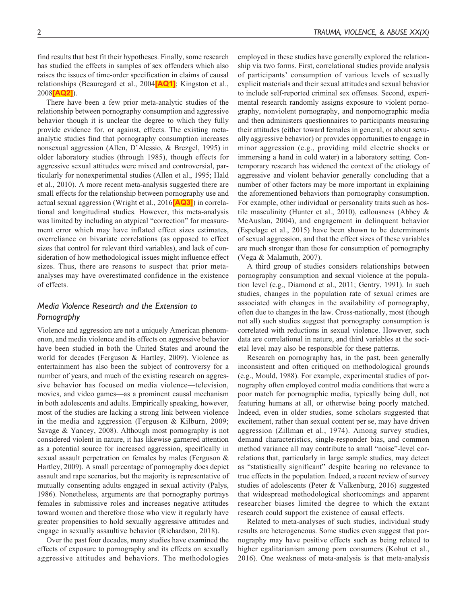<span id="page-2-0"></span>find results that best fit their hypotheses. Finally, some research has studied the effects in samples of sex offenders which also raises the issues of time-order specification in claims of causal relationships (Beauregard et al., 2004<sup>[\[AQ1\]](#page-0-0)</sup>; Kingston et al., 2008[\[AQ2\]](#page-0-0)).

There have been a few prior meta-analytic studies of the relationship between pornography consumption and aggressive behavior though it is unclear the degree to which they fully provide evidence for, or against, effects. The existing metaanalytic studies find that pornography consumption increases nonsexual aggression (Allen, D'Alessio, & Brezgel, 1995) in older laboratory studies (through 1985), though effects for aggressive sexual attitudes were mixed and controversial, particularly for nonexperimental studies (Allen et al., 1995; Hald et al., 2010). A more recent meta-analysis suggested there are small effects for the relationship between pornography use and actual sexual aggression (Wright et al., 2016<sup>[\[AQ3\]](#page-0-0)</sup>) in correlational and longitudinal studies. However, this meta-analysis was limited by including an atypical "correction" for measurement error which may have inflated effect sizes estimates, overreliance on bivariate correlations (as opposed to effect sizes that control for relevant third variables), and lack of consideration of how methodological issues might influence effect sizes. Thus, there are reasons to suspect that prior metaanalyses may have overestimated confidence in the existence of effects.

# Media Violence Research and the Extension to Pornography

Violence and aggression are not a uniquely American phenomenon, and media violence and its effects on aggressive behavior have been studied in both the United States and around the world for decades (Ferguson & Hartley, 2009). Violence as entertainment has also been the subject of controversy for a number of years, and much of the existing research on aggressive behavior has focused on media violence—television, movies, and video games—as a prominent causal mechanism in both adolescents and adults. Empirically speaking, however, most of the studies are lacking a strong link between violence in the media and aggression (Ferguson & Kilburn, 2009; Savage & Yancey, 2008). Although most pornography is not considered violent in nature, it has likewise garnered attention as a potential source for increased aggression, specifically in sexual assault perpetration on females by males (Ferguson & Hartley, 2009). A small percentage of pornography does depict assault and rape scenarios, but the majority is representative of mutually consenting adults engaged in sexual activity (Palys, 1986). Nonetheless, arguments are that pornography portrays females in submissive roles and increases negative attitudes toward women and therefore those who view it regularly have greater propensities to hold sexually aggressive attitudes and engage in sexually assaultive behavior (Richardson, 2018).

Over the past four decades, many studies have examined the effects of exposure to pornography and its effects on sexually aggressive attitudes and behaviors. The methodologies employed in these studies have generally explored the relationship via two forms. First, correlational studies provide analysis of participants' consumption of various levels of sexually explicit materials and their sexual attitudes and sexual behavior to include self-reported criminal sex offenses. Second, experimental research randomly assigns exposure to violent pornography, nonviolent pornography, and nonpornographic media and then administers questionnaires to participants measuring their attitudes (either toward females in general, or about sexually aggressive behavior) or provides opportunities to engage in minor aggression (e.g., providing mild electric shocks or immersing a hand in cold water) in a laboratory setting. Contemporary research has widened the context of the etiology of aggressive and violent behavior generally concluding that a number of other factors may be more important in explaining the aforementioned behaviors than pornography consumption. For example, other individual or personality traits such as hostile masculinity (Hunter et al., 2010), callousness (Abbey & McAuslan, 2004), and engagement in delinquent behavior (Espelage et al., 2015) have been shown to be determinants of sexual aggression, and that the effect sizes of these variables are much stronger than those for consumption of pornography (Vega & Malamuth, 2007).

A third group of studies considers relationships between pornography consumption and sexual violence at the population level (e.g., Diamond et al., 2011; Gentry, 1991). In such studies, changes in the population rate of sexual crimes are associated with changes in the availability of pornography, often due to changes in the law. Cross-nationally, most (though not all) such studies suggest that pornography consumption is correlated with reductions in sexual violence. However, such data are correlational in nature, and third variables at the societal level may also be responsible for these patterns.

Research on pornography has, in the past, been generally inconsistent and often critiqued on methodological grounds (e.g., Mould, 1988). For example, experimental studies of pornography often employed control media conditions that were a poor match for pornographic media, typically being dull, not featuring humans at all, or otherwise being poorly matched. Indeed, even in older studies, some scholars suggested that excitement, rather than sexual content per se, may have driven aggression (Zillman et al., 1974). Among survey studies, demand characteristics, single-responder bias, and common method variance all may contribute to small "noise"-level correlations that, particularly in large sample studies, may detect as "statistically significant" despite bearing no relevance to true effects in the population. Indeed, a recent review of survey studies of adolescents (Peter & Valkenburg, 2016) suggested that widespread methodological shortcomings and apparent researcher biases limited the degree to which the extant research could support the existence of causal effects.

Related to meta-analyses of such studies, individual study results are heterogeneous. Some studies even suggest that pornography may have positive effects such as being related to higher egalitarianism among porn consumers (Kohut et al., 2016). One weakness of meta-analysis is that meta-analysis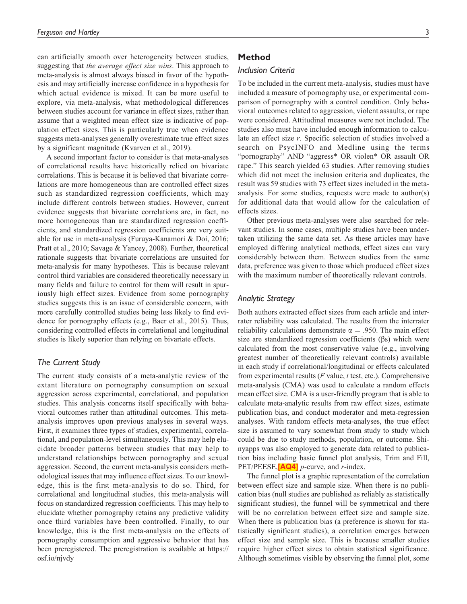<span id="page-3-0"></span>can artificially smooth over heterogeneity between studies, suggesting that the average effect size wins. This approach to meta-analysis is almost always biased in favor of the hypothesis and may artificially increase confidence in a hypothesis for which actual evidence is mixed. It can be more useful to explore, via meta-analysis, what methodological differences between studies account for variance in effect sizes, rather than assume that a weighted mean effect size is indicative of population effect sizes. This is particularly true when evidence suggests meta-analyses generally overestimate true effect sizes by a significant magnitude (Kvarven et al., 2019).

A second important factor to consider is that meta-analyses of correlational results have historically relied on bivariate correlations. This is because it is believed that bivariate correlations are more homogeneous than are controlled effect sizes such as standardized regression coefficients, which may include different controls between studies. However, current evidence suggests that bivariate correlations are, in fact, no more homogeneous than are standardized regression coefficients, and standardized regression coefficients are very suitable for use in meta-analysis (Furuya-Kanamori & Doi, 2016; Pratt et al., 2010; Savage & Yancey, 2008). Further, theoretical rationale suggests that bivariate correlations are unsuited for meta-analysis for many hypotheses. This is because relevant control third variables are considered theoretically necessary in many fields and failure to control for them will result in spuriously high effect sizes. Evidence from some pornography studies suggests this is an issue of considerable concern, with more carefully controlled studies being less likely to find evidence for pornography effects (e.g., Baer et al., 2015). Thus, considering controlled effects in correlational and longitudinal studies is likely superior than relying on bivariate effects.

# The Current Study

The current study consists of a meta-analytic review of the extant literature on pornography consumption on sexual aggression across experimental, correlational, and population studies. This analysis concerns itself specifically with behavioral outcomes rather than attitudinal outcomes. This metaanalysis improves upon previous analyses in several ways. First, it examines three types of studies, experimental, correlational, and population-level simultaneously. This may help elucidate broader patterns between studies that may help to understand relationships between pornography and sexual aggression. Second, the current meta-analysis considers methodological issues that may influence effect sizes. To our knowledge, this is the first meta-analysis to do so. Third, for correlational and longitudinal studies, this meta-analysis will focus on standardized regression coefficients. This may help to elucidate whether pornography retains any predictive validity once third variables have been controlled. Finally, to our knowledge, this is the first meta-analysis on the effects of pornography consumption and aggressive behavior that has been preregistered. The preregistration is available at [https://](https://osf.io/njvdy) [osf.io/njvdy](https://osf.io/njvdy)

# Method

#### Inclusion Criteria

To be included in the current meta-analysis, studies must have included a measure of pornography use, or experimental comparison of pornography with a control condition. Only behavioral outcomes related to aggression, violent assaults, or rape were considered. Attitudinal measures were not included. The studies also must have included enough information to calculate an effect size r. Specific selection of studies involved a search on PsycINFO and Medline using the terms "pornography" AND "aggress\* OR violen\* OR assault OR rape." This search yielded 63 studies. After removing studies which did not meet the inclusion criteria and duplicates, the result was 59 studies with 73 effect sizes included in the metaanalysis. For some studies, requests were made to author(s) for additional data that would allow for the calculation of effects sizes.

Other previous meta-analyses were also searched for relevant studies. In some cases, multiple studies have been undertaken utilizing the same data set. As these articles may have employed differing analytical methods, effect sizes can vary considerably between them. Between studies from the same data, preference was given to those which produced effect sizes with the maximum number of theoretically relevant controls.

# Analytic Strategy

Both authors extracted effect sizes from each article and interrater reliability was calculated. The results from the interrater reliability calculations demonstrate  $\alpha = .950$ . The main effect size are standardized regression coefficients  $(\beta s)$  which were calculated from the most conservative value (e.g., involving greatest number of theoretically relevant controls) available in each study if correlational/longitudinal or effects calculated from experimental results ( $F$  value,  $t$  test, etc.). Comprehensive meta-analysis (CMA) was used to calculate a random effects mean effect size. CMA is a user-friendly program that is able to calculate meta-analytic results from raw effect sizes, estimate publication bias, and conduct moderator and meta-regression analyses. With random effects meta-analyses, the true effect size is assumed to vary somewhat from study to study which could be due to study methods, population, or outcome. Shinyapps was also employed to generate data related to publication bias including basic funnel plot analysis, Trim and Fill, PET/PEESE, $[AQ4]$  p-curve, and r-index.

The funnel plot is a graphic representation of the correlation between effect size and sample size. When there is no publication bias (null studies are published as reliably as statistically significant studies), the funnel will be symmetrical and there will be no correlation between effect size and sample size. When there is publication bias (a preference is shown for statistically significant studies), a correlation emerges between effect size and sample size. This is because smaller studies require higher effect sizes to obtain statistical significance. Although sometimes visible by observing the funnel plot, some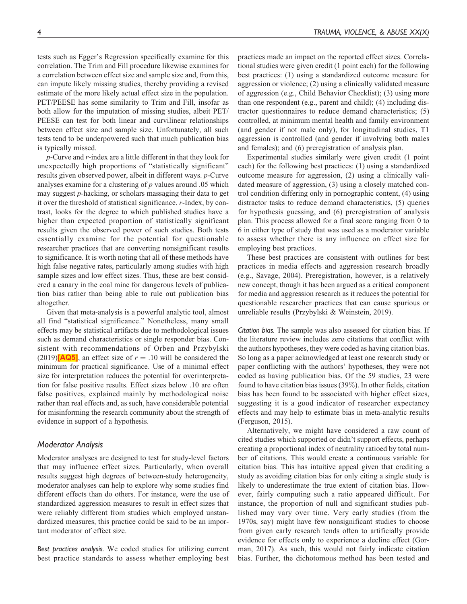<span id="page-4-0"></span>tests such as Egger's Regression specifically examine for this correlation. The Trim and Fill procedure likewise examines for a correlation between effect size and sample size and, from this, can impute likely missing studies, thereby providing a revised estimate of the more likely actual effect size in the population. PET/PEESE has some similarity to Trim and Fill, insofar as both allow for the imputation of missing studies, albeit PET/ PEESE can test for both linear and curvilinear relationships between effect size and sample size. Unfortunately, all such tests tend to be underpowered such that much publication bias is typically missed.

p-Curve and r-index are a little different in that they look for unexpectedly high proportions of "statistically significant" results given observed power, albeit in different ways. p-Curve analyses examine for a clustering of  $p$  values around .05 which may suggest p-hacking, or scholars massaging their data to get it over the threshold of statistical significance. r-Index, by contrast, looks for the degree to which published studies have a higher than expected proportion of statistically significant results given the observed power of such studies. Both tests essentially examine for the potential for questionable researcher practices that are converting nonsignificant results to significance. It is worth noting that all of these methods have high false negative rates, particularly among studies with high sample sizes and low effect sizes. Thus, these are best considered a canary in the coal mine for dangerous levels of publication bias rather than being able to rule out publication bias altogether.

Given that meta-analysis is a powerful analytic tool, almost all find "statistical significance." Nonetheless, many small effects may be statistical artifacts due to methodological issues such as demand characteristics or single responder bias. Consistent with recommendations of Orben and Przybylski (2019)[\[AQ5\]](#page-0-0), an effect size of  $r = .10$  will be considered the minimum for practical significance. Use of a minimal effect size for interpretation reduces the potential for overinterpretation for false positive results. Effect sizes below .10 are often false positives, explained mainly by methodological noise rather than real effects and, as such, have considerable potential for misinforming the research community about the strength of evidence in support of a hypothesis.

### Moderator Analysis

Moderator analyses are designed to test for study-level factors that may influence effect sizes. Particularly, when overall results suggest high degrees of between-study heterogeneity, moderator analyses can help to explore why some studies find different effects than do others. For instance, were the use of standardized aggression measures to result in effect sizes that were reliably different from studies which employed unstandardized measures, this practice could be said to be an important moderator of effect size.

Best practices analysis. We coded studies for utilizing current best practice standards to assess whether employing best practices made an impact on the reported effect sizes. Correlational studies were given credit (1 point each) for the following best practices: (1) using a standardized outcome measure for aggression or violence; (2) using a clinically validated measure of aggression (e.g., Child Behavior Checklist); (3) using more than one respondent (e.g., parent and child); (4) including distractor questionnaires to reduce demand characteristics; (5) controlled, at minimum mental health and family environment (and gender if not male only), for longitudinal studies, T1 aggression is controlled (and gender if involving both males and females); and (6) preregistration of analysis plan.

Experimental studies similarly were given credit (1 point each) for the following best practices: (1) using a standardized outcome measure for aggression, (2) using a clinically validated measure of aggression, (3) using a closely matched control condition differing only in pornographic content, (4) using distractor tasks to reduce demand characteristics, (5) queries for hypothesis guessing, and (6) preregistration of analysis plan. This process allowed for a final score ranging from 0 to 6 in either type of study that was used as a moderator variable to assess whether there is any influence on effect size for employing best practices.

These best practices are consistent with outlines for best practices in media effects and aggression research broadly (e.g., Savage, 2004). Preregistration, however, is a relatively new concept, though it has been argued as a critical component for media and aggression research as it reduces the potential for questionable researcher practices that can cause spurious or unreliable results (Przybylski & Weinstein, 2019).

Citation bias. The sample was also assessed for citation bias. If the literature review includes zero citations that conflict with the authors hypotheses, they were coded as having citation bias. So long as a paper acknowledged at least one research study or paper conflicting with the authors' hypotheses, they were not coded as having publication bias. Of the 59 studies, 23 were found to have citation bias issues (39%). In other fields, citation bias has been found to be associated with higher effect sizes, suggesting it is a good indicator of researcher expectancy effects and may help to estimate bias in meta-analytic results (Ferguson, 2015).

Alternatively, we might have considered a raw count of cited studies which supported or didn't support effects, perhaps creating a proportional index of neutrality ratioed by total number of citations. This would create a continuous variable for citation bias. This has intuitive appeal given that crediting a study as avoiding citation bias for only citing a single study is likely to underestimate the true extent of citation bias. However, fairly computing such a ratio appeared difficult. For instance, the proportion of null and significant studies published may vary over time. Very early studies (from the 1970s, say) might have few nonsignificant studies to choose from given early research tends often to artificially provide evidence for effects only to experience a decline effect (Gorman, 2017). As such, this would not fairly indicate citation bias. Further, the dichotomous method has been tested and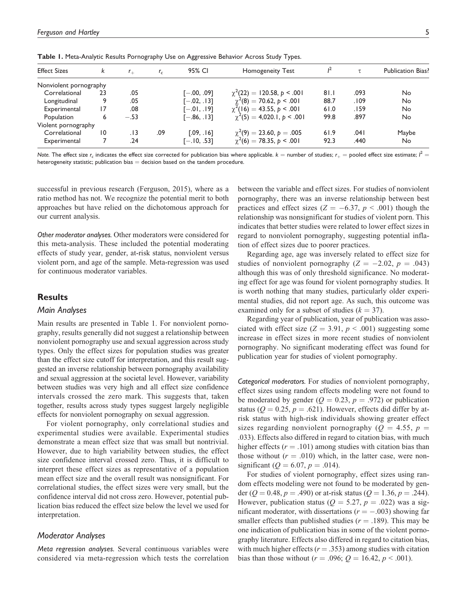| <b>Effect Sizes</b>    | k  | $r_{\perp}$ | $r_c$ | 95% CI        | <b>Homogeneity Test</b>         |      |        | Publication Bias? |
|------------------------|----|-------------|-------|---------------|---------------------------------|------|--------|-------------------|
| Nonviolent pornography |    |             |       |               |                                 |      |        |                   |
| Correlational          | 23 | .05         |       | $[-.00, .09]$ | $\chi^2(22) = 120.58, p < .001$ | 81.1 | .093   | No                |
| Longitudinal           | 9  | .05         |       | $[-.02, .13]$ | $\chi^2(8) = 70.62, p < .001$   | 88.7 | .109   | No                |
| Experimental           | 17 | .08         |       | [—.01, .19]   | $\chi^2(16) = 43.55, p < .001$  | 61.0 | . I 59 | No                |
| <b>Population</b>      | 6  | $-.53$      |       | $[-.86, .13]$ | $\chi^2(5) = 4,020.1, p < .001$ | 99.8 | .897   | No                |
| Violent pornography    |    |             |       |               |                                 |      |        |                   |
| Correlational          | 10 | . I 3       | .09   | [.09, .16]    | $\chi^2(9) = 23.60, p = .005$   | 61.9 | ا 04.  | Maybe             |
| Experimental           |    | .24         |       | $[-.10, .53]$ | $\chi^2(6) = 78.35, p < .001$   | 92.3 | .440   | No                |

Table 1. Meta-Analytic Results Pornography Use on Aggressive Behavior Across Study Types.

Note. The effect size  $r_c$  indicates the effect size corrected for publication bias where applicable.  $k=$  number of studies;  $r_+=$  pooled effect size estimate;  ${\it l}^2=$ heterogeneity statistic; publication bias  $=$  decision based on the tandem procedure.

successful in previous research (Ferguson, 2015), where as a ratio method has not. We recognize the potential merit to both approaches but have relied on the dichotomous approach for our current analysis.

Other moderator analyses. Other moderators were considered for this meta-analysis. These included the potential moderating effects of study year, gender, at-risk status, nonviolent versus violent porn, and age of the sample. Meta-regression was used for continuous moderator variables.

# **Results**

### Main Analyses

Main results are presented in Table 1. For nonviolent pornography, results generally did not suggest a relationship between nonviolent pornography use and sexual aggression across study types. Only the effect sizes for population studies was greater than the effect size cutoff for interpretation, and this result suggested an inverse relationship between pornography availability and sexual aggression at the societal level. However, variability between studies was very high and all effect size confidence intervals crossed the zero mark. This suggests that, taken together, results across study types suggest largely negligible effects for nonviolent pornography on sexual aggression.

For violent pornography, only correlational studies and experimental studies were available. Experimental studies demonstrate a mean effect size that was small but nontrivial. However, due to high variability between studies, the effect size confidence interval crossed zero. Thus, it is difficult to interpret these effect sizes as representative of a population mean effect size and the overall result was nonsignificant. For correlational studies, the effect sizes were very small, but the confidence interval did not cross zero. However, potential publication bias reduced the effect size below the level we used for interpretation.

# Moderator Analyses

Meta regression analyses. Several continuous variables were considered via meta-regression which tests the correlation

between the variable and effect sizes. For studies of nonviolent pornography, there was an inverse relationship between best practices and effect sizes ( $Z = -6.37$ ,  $p < .001$ ) though the relationship was nonsignificant for studies of violent porn. This indicates that better studies were related to lower effect sizes in regard to nonviolent pornography, suggesting potential inflation of effect sizes due to poorer practices.

Regarding age, age was inversely related to effect size for studies of nonviolent pornography ( $Z = -2.02$ ,  $p = .043$ ) although this was of only threshold significance. No moderating effect for age was found for violent pornography studies. It is worth nothing that many studies, particularly older experimental studies, did not report age. As such, this outcome was examined only for a subset of studies ( $k = 37$ ).

Regarding year of publication, year of publication was associated with effect size ( $Z = 3.91$ ,  $p < .001$ ) suggesting some increase in effect sizes in more recent studies of nonviolent pornography. No significant moderating effect was found for publication year for studies of violent pornography.

Categorical moderators. For studies of nonviolent pornography, effect sizes using random effects modeling were not found to be moderated by gender ( $Q = 0.23$ ,  $p = .972$ ) or publication status ( $Q = 0.25$ ,  $p = .621$ ). However, effects did differ by atrisk status with high-risk individuals showing greater effect sizes regarding nonviolent pornography ( $Q = 4.55$ ,  $p =$ .033). Effects also differed in regard to citation bias, with much higher effects ( $r = .101$ ) among studies with citation bias than those without  $(r = .010)$  which, in the latter case, were nonsignificant ( $Q = 6.07, p = .014$ ).

For studies of violent pornography, effect sizes using random effects modeling were not found to be moderated by gender ( $Q = 0.48$ ,  $p = .490$ ) or at-risk status ( $Q = 1.36$ ,  $p = .244$ ). However, publication status ( $Q = 5.27$ ,  $p = .022$ ) was a significant moderator, with dissertations ( $r = -.003$ ) showing far smaller effects than published studies ( $r = .189$ ). This may be one indication of publication bias in some of the violent pornography literature. Effects also differed in regard to citation bias, with much higher effects ( $r = .353$ ) among studies with citation bias than those without ( $r = .096$ ;  $Q = 16.42$ ,  $p < .001$ ).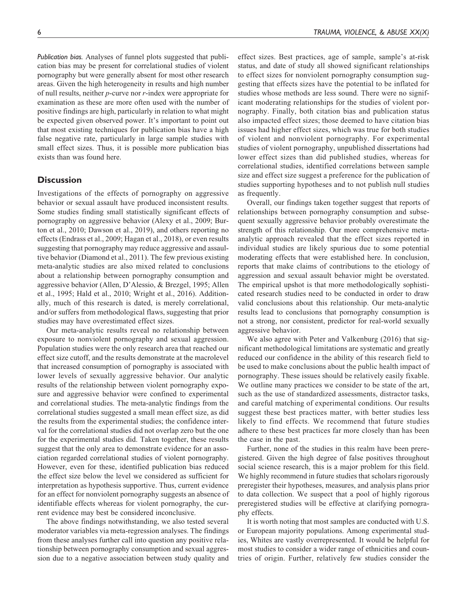Publication bias. Analyses of funnel plots suggested that publication bias may be present for correlational studies of violent pornography but were generally absent for most other research areas. Given the high heterogeneity in results and high number of null results, neither p-curve nor r-index were appropriate for examination as these are more often used with the number of positive findings are high, particularly in relation to what might be expected given observed power. It's important to point out that most existing techniques for publication bias have a high false negative rate, particularly in large sample studies with small effect sizes. Thus, it is possible more publication bias exists than was found here.

# **Discussion**

Investigations of the effects of pornography on aggressive behavior or sexual assault have produced inconsistent results. Some studies finding small statistically significant effects of pornography on aggressive behavior (Alexy et al., 2009; Burton et al., 2010; Dawson et al., 2019), and others reporting no effects (Endrass et al., 2009; Hagan et al., 2018), or even results suggesting that pornography may reduce aggressive and assaultive behavior (Diamond et al., 2011). The few previous existing meta-analytic studies are also mixed related to conclusions about a relationship between pornography consumption and aggressive behavior (Allen, D'Alessio, & Brezgel, 1995; Allen et al., 1995; Hald et al., 2010; Wright et al., 2016). Additionally, much of this research is dated, is merely correlational, and/or suffers from methodological flaws, suggesting that prior studies may have overestimated effect sizes.

Our meta-analytic results reveal no relationship between exposure to nonviolent pornography and sexual aggression. Population studies were the only research area that reached our effect size cutoff, and the results demonstrate at the macrolevel that increased consumption of pornography is associated with lower levels of sexually aggressive behavior. Our analytic results of the relationship between violent pornography exposure and aggressive behavior were confined to experimental and correlational studies. The meta-analytic findings from the correlational studies suggested a small mean effect size, as did the results from the experimental studies; the confidence interval for the correlational studies did not overlap zero but the one for the experimental studies did. Taken together, these results suggest that the only area to demonstrate evidence for an association regarded correlational studies of violent pornography. However, even for these, identified publication bias reduced the effect size below the level we considered as sufficient for interpretation as hypothesis supportive. Thus, current evidence for an effect for nonviolent pornography suggests an absence of identifiable effects whereas for violent pornography, the current evidence may best be considered inconclusive.

The above findings notwithstanding, we also tested several moderator variables via meta-regression analyses. The findings from these analyses further call into question any positive relationship between pornography consumption and sexual aggression due to a negative association between study quality and effect sizes. Best practices, age of sample, sample's at-risk status, and date of study all showed significant relationships to effect sizes for nonviolent pornography consumption suggesting that effects sizes have the potential to be inflated for studies whose methods are less sound. There were no significant moderating relationships for the studies of violent pornography. Finally, both citation bias and publication status also impacted effect sizes; those deemed to have citation bias issues had higher effect sizes, which was true for both studies of violent and nonviolent pornography. For experimental studies of violent pornography, unpublished dissertations had lower effect sizes than did published studies, whereas for correlational studies, identified correlations between sample size and effect size suggest a preference for the publication of studies supporting hypotheses and to not publish null studies as frequently.

Overall, our findings taken together suggest that reports of relationships between pornography consumption and subsequent sexually aggressive behavior probably overestimate the strength of this relationship. Our more comprehensive metaanalytic approach revealed that the effect sizes reported in individual studies are likely spurious due to some potential moderating effects that were established here. In conclusion, reports that make claims of contributions to the etiology of aggression and sexual assault behavior might be overstated. The empirical upshot is that more methodologically sophisticated research studies need to be conducted in order to draw valid conclusions about this relationship. Our meta-analytic results lead to conclusions that pornography consumption is not a strong, nor consistent, predictor for real-world sexually aggressive behavior.

We also agree with Peter and Valkenburg (2016) that significant methodological limitations are systematic and greatly reduced our confidence in the ability of this research field to be used to make conclusions about the public health impact of pornography. These issues should be relatively easily fixable. We outline many practices we consider to be state of the art, such as the use of standardized assessments, distractor tasks, and careful matching of experimental conditions. Our results suggest these best practices matter, with better studies less likely to find effects. We recommend that future studies adhere to these best practices far more closely than has been the case in the past.

Further, none of the studies in this realm have been preregistered. Given the high degree of false positives throughout social science research, this is a major problem for this field. We highly recommend in future studies that scholars rigorously preregister their hypotheses, measures, and analysis plans prior to data collection. We suspect that a pool of highly rigorous preregistered studies will be effective at clarifying pornography effects.

It is worth noting that most samples are conducted with U.S. or European majority populations. Among experimental studies, Whites are vastly overrepresented. It would be helpful for most studies to consider a wider range of ethnicities and countries of origin. Further, relatively few studies consider the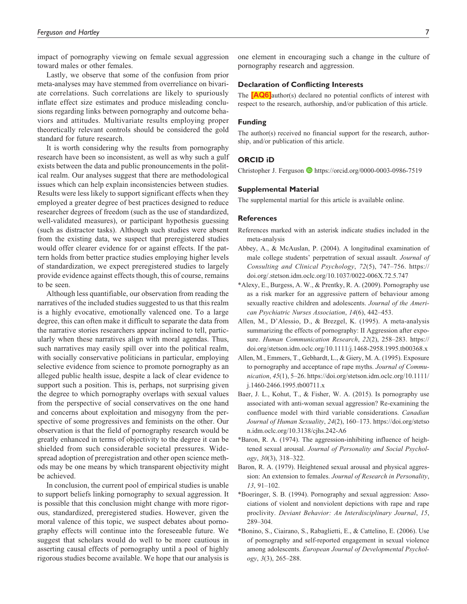<span id="page-7-0"></span>impact of pornography viewing on female sexual aggression toward males or other females.

Lastly, we observe that some of the confusion from prior meta-analyses may have stemmed from overreliance on bivariate correlations. Such correlations are likely to spuriously inflate effect size estimates and produce misleading conclusions regarding links between pornography and outcome behaviors and attitudes. Multivariate results employing proper theoretically relevant controls should be considered the gold standard for future research.

It is worth considering why the results from pornography research have been so inconsistent, as well as why such a gulf exists between the data and public pronouncements in the political realm. Our analyses suggest that there are methodological issues which can help explain inconsistencies between studies. Results were less likely to support significant effects when they employed a greater degree of best practices designed to reduce researcher degrees of freedom (such as the use of standardized, well-validated measures), or participant hypothesis guessing (such as distractor tasks). Although such studies were absent from the existing data, we suspect that preregistered studies would offer clearer evidence for or against effects. If the pattern holds from better practice studies employing higher levels of standardization, we expect preregistered studies to largely provide evidence against effects though, this of course, remains to be seen.

Although less quantifiable, our observation from reading the narratives of the included studies suggested to us that this realm is a highly evocative, emotionally valenced one. To a large degree, this can often make it difficult to separate the data from the narrative stories researchers appear inclined to tell, particularly when these narratives align with moral agendas. Thus, such narratives may easily spill over into the political realm, with socially conservative politicians in particular, employing selective evidence from science to promote pornography as an alleged public health issue, despite a lack of clear evidence to support such a position. This is, perhaps, not surprising given the degree to which pornography overlaps with sexual values from the perspective of social conservatives on the one hand and concerns about exploitation and misogyny from the perspective of some progressives and feminists on the other. Our observation is that the field of pornography research would be greatly enhanced in terms of objectivity to the degree it can be shielded from such considerable societal pressures. Widespread adoption of preregistration and other open science methods may be one means by which transparent objectivity might be achieved.

In conclusion, the current pool of empirical studies is unable to support beliefs linking pornography to sexual aggression. It is possible that this conclusion might change with more rigorous, standardized, preregistered studies. However, given the moral valence of this topic, we suspect debates about pornography effects will continue into the foreseeable future. We suggest that scholars would do well to be more cautious in asserting causal effects of pornography until a pool of highly rigorous studies become available. We hope that our analysis is

one element in encouraging such a change in the culture of pornography research and aggression.

#### Declaration of Conflicting Interests

The **[\[AQ6\]](#page-0-0)**author(s) declared no potential conflicts of interest with respect to the research, authorship, and/or publication of this article.

#### Funding

The author(s) received no financial support for the research, authorship, and/or publication of this article.

### ORCID iD

Christopher J. Ferguson D <https://orcid.org/0000-0003-0986-7519>

#### Supplemental Material

The supplemental martial for this article is available online.

#### **References**

- References marked with an asterisk indicate studies included in the meta-analysis
- Abbey, A., & McAuslan, P. (2004). A longitudinal examination of male college students' perpetration of sexual assault. Journal of Consulting and Clinical Psychology, 72(5), 747–756. [https://](https://doi.org/.stetson.idm.oclc.org/10.1037/0022-006X.72.5.747) [doi.org/.stetson.idm.oclc.org/10.1037/0022-006X.72.5.747](https://doi.org/.stetson.idm.oclc.org/10.1037/0022-006X.72.5.747)
- \*Alexy, E., Burgess, A. W., & Prentky, R. A. (2009). Pornography use as a risk marker for an aggressive pattern of behaviour among sexually reactive children and adolescents. Journal of the American Psychiatric Nurses Association, 14(6), 442–453.
- Allen, M., D'Alessio, D., & Brezgel, K. (1995). A meta-analysis summarizing the effects of pornography: II Aggression after exposure. Human Communication Research, 22(2), 258–283. [https://](https://doi.org/stetson.idm.oclc.org/10.1111/j.1468-2958.1995.tb00368.x) [doi.org/stetson.idm.oclc.org/10.1111/j.1468-2958.1995.tb00368.x](https://doi.org/stetson.idm.oclc.org/10.1111/j.1468-2958.1995.tb00368.x)
- Allen, M., Emmers, T., Gebhardt, L., & Giery, M. A. (1995). Exposure to pornography and acceptance of rape myths. Journal of Communication, 45(1), 5–26. [https://doi.org/stetson.idm.oclc.org/10.1111/](https://doi.org/stetson.idm.oclc.org/10.1111/j.1460-2466.1995.tb00711.x) [j.1460-2466.1995.tb00711.x](https://doi.org/stetson.idm.oclc.org/10.1111/j.1460-2466.1995.tb00711.x)
- Baer, J. L., Kohut, T., & Fisher, W. A. (2015). Is pornography use associated with anti-woman sexual aggression? Re-examining the confluence model with third variable considerations. Canadian Journal of Human Sexuality, 24(2), 160–173. [https://doi.org/stetso](https://doi.org/stetson.idm.oclc.org/10.3138/cjhs.242-A6) [n.idm.oclc.org/10.3138/cjhs.242-A6](https://doi.org/stetson.idm.oclc.org/10.3138/cjhs.242-A6)
- \*Baron, R. A. (1974). The aggression-inhibiting influence of heightened sexual arousal. Journal of Personality and Social Psychol $ogy, 30(3), 318-322.$
- Baron, R. A. (1979). Heightened sexual arousal and physical aggression: An extension to females. Journal of Research in Personality, 13, 91–102.
- \*Boeringer, S. B. (1994). Pornography and sexual aggression: Associations of violent and nonviolent depictions with rape and rape proclivity. Deviant Behavior: An Interdisciplinary Journal, 15, 289–304.
- \*Bonino, S., Ciairano, S., Rabaglietti, E., & Cattelino, E. (2006). Use of pornography and self-reported engagement in sexual violence among adolescents. European Journal of Developmental Psychology, 3(3), 265–288.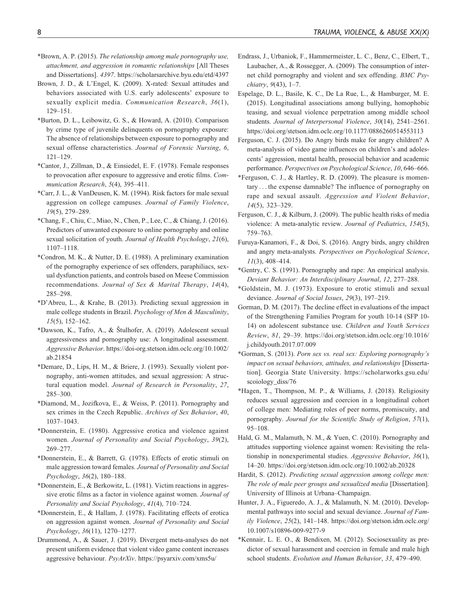- \*Brown, A. P. (2015). The relationship among male pornography use, attachment, and aggression in romantic relationships [All Theses and Dissertations]. 4397.<https://scholarsarchive.byu.edu/etd/4397>
- Brown, J. D., & L'Engel, K. (2009). X-rated: Sexual attitudes and behaviors associated with U.S. early adolescents' exposure to sexually explicit media. Communication Research, 36(1), 129–151.
- \*Burton, D. L., Leibowitz, G. S., & Howard, A. (2010). Comparison by crime type of juvenile delinquents on pornography exposure: The absence of relationships between exposure to pornography and sexual offense characteristics. Journal of Forensic Nursing, 6, 121–129.
- \*Cantor, J., Zillman, D., & Einsiedel, E. F. (1978). Female responses to provocation after exposure to aggressive and erotic films. Communication Research, 5(4), 395–411.
- \*Carr, J. L., & VanDeusen, K. M. (1994). Risk factors for male sexual aggression on college campuses. Journal of Family Violence, 19(5), 279–289.
- \*Chang, F., Chiu, C., Miao, N., Chen, P., Lee, C., & Chiang, J. (2016). Predictors of unwanted exposure to online pornography and online sexual solicitation of youth. Journal of Health Psychology, 21(6), 1107–1118.
- \*Condron, M. K., & Nutter, D. E. (1988). A preliminary examination of the pornography experience of sex offenders, paraphiliacs, sexual dysfunction patients, and controls based on Meese Commission recommendations. Journal of Sex & Marital Therapy, 14(4), 285–298.
- \*D'Abreu, L., & Krahe, B. (2013). Predicting sexual aggression in male college students in Brazil. Psychology of Men & Masculinity, 15(5), 152–162.
- \*Dawson, K., Tafro, A., & Stulhofer, A.  $(2019)$ . Adolescent sexual aggressiveness and pornography use: A longitudinal assessment. Aggressive Behavior. [https://doi-org.stetson.idm.oclc.org/10.1002/](https://doi-org.stetson.idm.oclc.org/10.1002/ab.21854) [ab.21854](https://doi-org.stetson.idm.oclc.org/10.1002/ab.21854)
- \*Demare, D., Lips, H. M., & Briere, J. (1993). Sexually violent pornography, anti-women attitudes, and sexual aggression: A structural equation model. Journal of Research in Personality, 27, 285–300.
- \*Diamond, M., Jozifkova, E., & Weiss, P. (2011). Pornography and sex crimes in the Czech Republic. Archives of Sex Behavior, 40, 1037–1043.
- \*Donnerstein, E. (1980). Aggressive erotica and violence against women. Journal of Personality and Social Psychology, 39(2), 269–277.
- \*Donnerstein, E., & Barrett, G. (1978). Effects of erotic stimuli on male aggression toward females. Journal of Personality and Social Psychology, 36(2), 180–188.
- \*Donnerstein, E., & Berkowitz, L. (1981). Victim reactions in aggressive erotic films as a factor in violence against women. Journal of Personality and Social Psychology, 41(4), 710–724.
- \*Donnerstein, E., & Hallam, J. (1978). Facilitating effects of erotica on aggression against women. Journal of Personality and Social Psychology, 36(11), 1270–1277.
- Drummond, A., & Sauer, J. (2019). Divergent meta-analyses do not present uniform evidence that violent video game content increases aggressive behaviour. PsyArXiv.<https://psyarxiv.com/xms5u/>
- Endrass, J., Urbaniok, F., Hammermeister, L. C., Benz, C., Elbert, T., Laubacher, A., & Rossegger, A. (2009). The consumption of internet child pornography and violent and sex offending. BMC Psychiatry, 9(43), 1–7.
- Espelage, D. L., Basile, K. C., De La Rue, L., & Hamburger, M. E. (2015). Longitudinal associations among bullying, homophobic teasing, and sexual violence perpetration among middle school students. Journal of Interpersonal Violence, 30(14), 2541–2561. <https://doi.org/stetson.idm.oclc.org/10.1177/0886260514553113>
- Ferguson, C. J. (2015). Do Angry birds make for angry children? A meta-analysis of video game influences on children's and adolescents' aggression, mental health, prosocial behavior and academic performance. Perspectives on Psychological Science, 10, 646–666.
- \*Ferguson, C. J., & Hartley, R. D. (2009). The pleasure is momentary ... the expense damnable? The influence of pornography on rape and sexual assault. Aggression and Violent Behavior, 14(5), 323–329.
- Ferguson, C. J., & Kilburn, J. (2009). The public health risks of media violence: A meta-analytic review. Journal of Pediatrics, 154(5), 759–763.
- Furuya-Kanamori, F., & Doi, S. (2016). Angry birds, angry children and angry meta-analysts. Perspectives on Psychological Science, 11(3), 408–414.
- \*Gentry, C. S. (1991). Pornography and rape: An empirical analysis. Deviant Behavior: An Interdisciplinary Journal, 12, 277–288.
- \*Goldstein, M. J. (1973). Exposure to erotic stimuli and sexual deviance. Journal of Social Issues, 29(3), 197–219.
- Gorman, D. M. (2017). The decline effect in evaluations of the impact of the Strengthening Families Program for youth 10-14 (SFP 10- 14) on adolescent substance use. Children and Youth Services Review, 81, 29–39. [https://doi.org/stetson.idm.oclc.org/10.1016/](https://doi.org/stetson.idm.oclc.org/10.1016/j.childyouth.2017.07.009) [j.childyouth.2017.07.009](https://doi.org/stetson.idm.oclc.org/10.1016/j.childyouth.2017.07.009)
- \*Gorman, S. (2013). Porn sex vs. real sex: Exploring pornography's impact on sexual behaviors, attitudes, and relationships [Dissertation]. Georgia State University. [https://scholarworks.gsu.edu/](https://scholarworks.gsu.edu/scoiology_diss/76) [scoiology\\_diss/76](https://scholarworks.gsu.edu/scoiology_diss/76)
- \*Hagen, T., Thompson, M. P., & Williams, J. (2018). Religiosity reduces sexual aggression and coercion in a longitudinal cohort of college men: Mediating roles of peer norms, promiscuity, and pornography. Journal for the Scientific Study of Religion, 57(1), 95–108.
- Hald, G. M., Malamuth, N. M., & Yuen, C. (2010). Pornography and attitudes supporting violence against women: Revisiting the relationship in nonexperimental studies. Aggressive Behavior, 36(1), 14–20.<https://doi.org/stetson.idm.oclc.org/10.1002/ab.20328>
- Hardit, S. (2012). Predicting sexual aggression among college men: The role of male peer groups and sexualized media [Dissertation]. University of Illinois at Urbana–Champaign.
- Hunter, J. A., Figueredo, A. J., & Malamuth, N. M. (2010). Developmental pathways into social and sexual deviance. Journal of Family Violence, 25(2), 141–148. [https://doi.org/stetson.idm.oclc.org/](https://doi.org/stetson.idm.oclc.org/10.1007/s10896-009-9277-9) [10.1007/s10896-009-9277-9](https://doi.org/stetson.idm.oclc.org/10.1007/s10896-009-9277-9)
- \*Kennair, L. E. O., & Bendixen, M. (2012). Sociosexuality as predictor of sexual harassment and coercion in female and male high school students. Evolution and Human Behavior, 33, 479–490.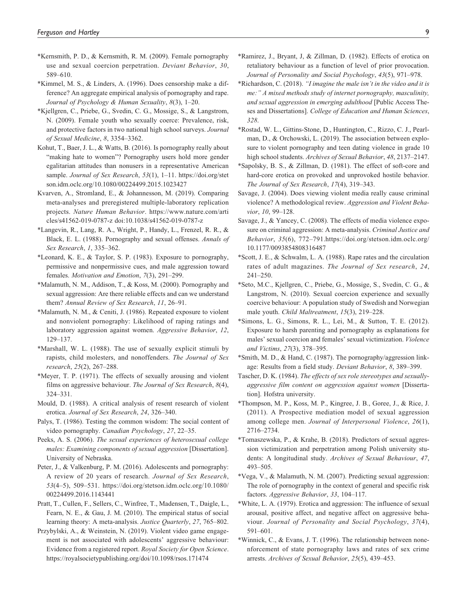- \*Kernsmith, P. D., & Kernsmith, R. M. (2009). Female pornography use and sexual coercion perpetration. Deviant Behavior, 30, 589–610.
- \*Kimmel, M. S., & Linders, A. (1996). Does censorship make a difference? An aggregate empirical analysis of pornography and rape. Journal of Psychology & Human Sexuality, 8(3), 1–20.
- \*Kjellgren, C., Priebe, G., Svedin, C. G., Mossige, S., & Langstrom, N. (2009). Female youth who sexually coerce: Prevalence, risk, and protective factors in two national high school surveys. Journal of Sexual Medicine, 8, 3354–3362.
- Kohut, T., Baer, J. L., & Watts, B. (2016). Is pornography really about "making hate to women"? Pornography users hold more gender egalitarian attitudes than nonusers in a representative American sample. Journal of Sex Research, 53(1), 1-11. [https://doi.org/stet](https://doi.org/stetson.idm.oclc.org/10.1080/00224499.2015.1023427) [son.idm.oclc.org/10.1080/00224499.2015.1023427](https://doi.org/stetson.idm.oclc.org/10.1080/00224499.2015.1023427)
- Kvarven, A., Stromland, E., & Johannesson, M. (2019). Comparing meta-analyses and preregistered multiple-laboratory replication projects. Nature Human Behavior. [https://www.nature.com/arti](https://www.nature.com/articles/s41562-019-0787-z) [cles/s41562-019-0787-z](https://www.nature.com/articles/s41562-019-0787-z) doi:10.1038/s41562-019-0787-z
- \*Langevin, R., Lang, R. A., Wright, P., Handy, L., Frenzel, R. R., & Black, E. L. (1988). Pornography and sexual offenses. Annals of Sex Research, 1, 335–362.
- \*Leonard, K. E., & Taylor, S. P. (1983). Exposure to pornography, permissive and nonpermissive cues, and male aggression toward females. Motivation and Emotion, 7(3), 291–299.
- \*Malamuth, N. M., Addison, T., & Koss, M. (2000). Pornography and sexual aggression: Are there reliable effects and can we understand them? Annual Review of Sex Research, 11, 26–91.
- \*Malamuth, N. M., & Ceniti, J. (1986). Repeated exposure to violent and nonviolent pornography: Likelihood of raping ratings and laboratory aggression against women. Aggressive Behavior, 12, 129–137.
- \*Marshall, W. L. (1988). The use of sexually explicit stimuli by rapists, child molesters, and nonoffenders. The Journal of Sex research, 25(2), 267–288.
- \*Meyer, T. P. (1971). The effects of sexually arousing and violent films on aggressive behaviour. The Journal of Sex Research, 8(4), 324–331.
- Mould, D. (1988). A critical analysis of resent research of violent erotica. Journal of Sex Research, 24, 326–340.
- Palys, T. (1986). Testing the common wisdom: The social content of video pornography. Canadian Psychology, 27, 22–35.
- Peeks, A. S. (2006). The sexual experiences of heterosexual college males: Examining components of sexual aggression [Dissertation]. University of Nebraska.
- Peter, J., & Valkenburg, P. M. (2016). Adolescents and pornography: A review of 20 years of research. Journal of Sex Research, 53(4–5), 509–531. [https://doi.org/stetson.idm.oclc.org/10.1080/](https://doi.org/stetson.idm.oclc.org/10.1080/00224499.2016.1143441) [00224499.2016.1143441](https://doi.org/stetson.idm.oclc.org/10.1080/00224499.2016.1143441)
- Pratt, T., Cullen, F., Sellers, C., Winfree, T., Madensen, T., Daigle, L., Fearn, N. E., & Gau, J. M. (2010). The empirical status of social learning theory: A meta-analysis. Justice Quarterly, 27, 765–802.
- Przybylski, A., & Weinstein, N. (2019). Violent video game engagement is not associated with adolescents' aggressive behaviour: Evidence from a registered report. Royal Society for Open Science. <https://royalsocietypublishing.org/doi/10.1098/rsos.171474>
- \*Ramirez, J., Bryant, J, & Zillman, D. (1982). Effects of erotica on retaliatory behaviour as a function of level of prior provocation. Journal of Personality and Social Psychology, 43(5), 971–978.
- \*Richardson, C. (2018). "I imagine the male isn't in the video and it is me:" A mixed methods study of internet pornography, masculinity, and sexual aggression in emerging adulthood [Public Access Theses and Dissertations]. College of Education and Human Sciences, 328.
- \*Rostad, W. L., Gittins-Stone, D., Huntington, C., Rizzo, C. J., Pearlman, D., & Orchowski, L. (2019). The association between explosure to violent pornography and teen dating violence in grade 10 high school students. Archives of Sexual Behavior, 48, 2137–2147.
- \*Sapolsky, B. S., & Zillman, D. (1981). The effect of soft-core and hard-core erotica on provoked and unprovoked hostile behavior. The Journal of Sex Research, 17(4), 319–343.
- Savage, J. (2004). Does viewing violent media really cause criminal violence? A methodological review. Aggression and Violent Behavior, 10, 99–128.
- Savage, J., & Yancey, C. (2008). The effects of media violence exposure on criminal aggression: A meta-analysis. Criminal Justice and Behavior, 35(6), 772–791.[https://doi.org/stetson.idm.oclc.org/](https://doi.org/stetson.idm.oclc.org/10.1177/0093854808316487) [10.1177/0093854808316487](https://doi.org/stetson.idm.oclc.org/10.1177/0093854808316487)
- \*Scott, J. E., & Schwalm, L. A. (1988). Rape rates and the circulation rates of adult magazines. The Journal of Sex research, 24, 241–250.
- \*Seto, M.C., Kjellgren, C., Priebe, G., Mossige, S., Svedin, C. G., & Langstrom, N. (2010). Sexual coercion experience and sexually coercive behaviour: A population study of Swedish and Norwegian male youth. Child Maltreatment, 15(3), 219–228.
- \*Simons, L. G., Simons, R. L., Lei, M., & Sutton, T. E. (2012). Exposure to harsh parenting and pornography as explanations for males' sexual coercion and females' sexual victimization. Violence and Victims, 27(3), 378–395.
- \*Smith, M. D., & Hand, C. (1987). The pornography/aggression linkage: Results from a field study. Deviant Behavior, 8, 389–399.
- Tascher, D. K. (1984). The effects of sex role stereotypes and sexuallyaggressive film content on aggression against women [Dissertation]. Hofstra university.
- \*Thompson, M. P., Koss, M. P., Kingree, J. B., Goree, J., & Rice, J. (2011). A Prospective mediation model of sexual aggression among college men. Journal of Interpersonal Violence, 26(1), 2716–2734.
- \*Tomaszewska, P., & Krahe, B. (2018). Predictors of sexual aggression victimization and perpetration among Polish university students: A longitudinal study. Archives of Sexual Behaviour, 47, 493–505.
- \*Vega, V., & Malamuth, N. M. (2007). Predicting sexual aggression: The role of pornography in the context of general and specific risk factors. Aggressive Behavior, 33, 104–117.
- \*White, L. A. (1979). Erotica and aggression: The influence of sexual arousal, positive affect, and negative affect on aggressive behaviour. Journal of Personality and Social Psychology, 37(4), 591–601.
- \*Winnick, C., & Evans, J. T. (1996). The relationship between nonenforcement of state pornography laws and rates of sex crime arrests. Archives of Sexual Behavior, 25(5), 439–453.